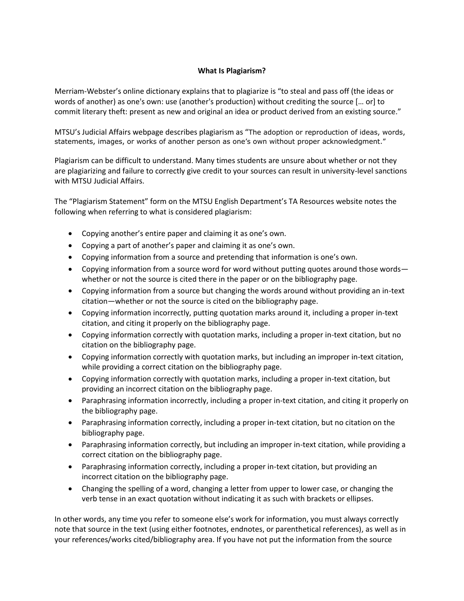## **What Is Plagiarism?**

Merriam-Webster's online dictionary explains that to plagiarize is "to steal and pass off (the ideas or words of another) as one's own: use (another's production) without crediting the source [… or] to commit literary theft: present as new and original an idea or product derived from an existing source."

MTSU's Judicial Affairs webpage describes plagiarism as "The adoption or reproduction of ideas, words, statements, images, or works of another person as one's own without proper acknowledgment."

Plagiarism can be difficult to understand. Many times students are unsure about whether or not they are plagiarizing and failure to correctly give credit to your sources can result in university-level sanctions with MTSU Judicial Affairs.

The "Plagiarism Statement" form on the MTSU English Department's TA Resources website notes the following when referring to what is considered plagiarism:

- Copying another's entire paper and claiming it as one's own.
- Copying a part of another's paper and claiming it as one's own.
- Copying information from a source and pretending that information is one's own.
- Copying information from a source word for word without putting quotes around those words whether or not the source is cited there in the paper or on the bibliography page.
- Copying information from a source but changing the words around without providing an in-text citation—whether or not the source is cited on the bibliography page.
- Copying information incorrectly, putting quotation marks around it, including a proper in-text citation, and citing it properly on the bibliography page.
- Copying information correctly with quotation marks, including a proper in-text citation, but no citation on the bibliography page.
- Copying information correctly with quotation marks, but including an improper in-text citation, while providing a correct citation on the bibliography page.
- Copying information correctly with quotation marks, including a proper in-text citation, but providing an incorrect citation on the bibliography page.
- Paraphrasing information incorrectly, including a proper in-text citation, and citing it properly on the bibliography page.
- Paraphrasing information correctly, including a proper in-text citation, but no citation on the bibliography page.
- Paraphrasing information correctly, but including an improper in-text citation, while providing a correct citation on the bibliography page.
- Paraphrasing information correctly, including a proper in-text citation, but providing an incorrect citation on the bibliography page.
- Changing the spelling of a word, changing a letter from upper to lower case, or changing the verb tense in an exact quotation without indicating it as such with brackets or ellipses.

In other words, any time you refer to someone else's work for information, you must always correctly note that source in the text (using either footnotes, endnotes, or parenthetical references), as well as in your references/works cited/bibliography area. If you have not put the information from the source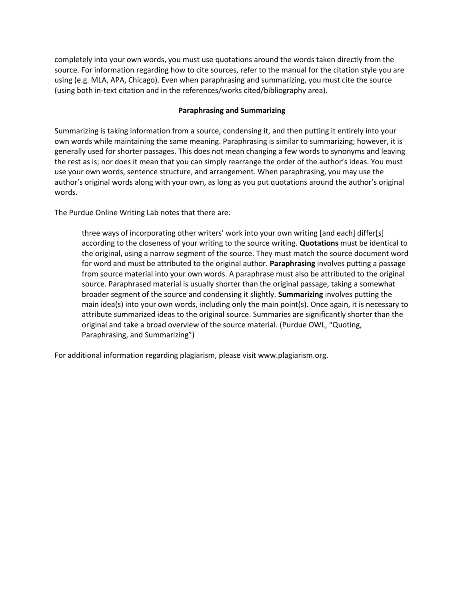completely into your own words, you must use quotations around the words taken directly from the source. For information regarding how to cite sources, refer to the manual for the citation style you are using (e.g. MLA, APA, Chicago). Even when paraphrasing and summarizing, you must cite the source (using both in-text citation and in the references/works cited/bibliography area).

## **Paraphrasing and Summarizing**

Summarizing is taking information from a source, condensing it, and then putting it entirely into your own words while maintaining the same meaning. Paraphrasing is similar to summarizing; however, it is generally used for shorter passages. This does not mean changing a few words to synonyms and leaving the rest as is; nor does it mean that you can simply rearrange the order of the author's ideas. You must use your own words, sentence structure, and arrangement. When paraphrasing, you may use the author's original words along with your own, as long as you put quotations around the author's original words.

The Purdue Online Writing Lab notes that there are:

three ways of incorporating other writers' work into your own writing [and each] differ[s] according to the closeness of your writing to the source writing. **Quotations** must be identical to the original, using a narrow segment of the source. They must match the source document word for word and must be attributed to the original author. **Paraphrasing** involves putting a passage from source material into your own words. A paraphrase must also be attributed to the original source. Paraphrased material is usually shorter than the original passage, taking a somewhat broader segment of the source and condensing it slightly. **Summarizing** involves putting the main idea(s) into your own words, including only the main point(s). Once again, it is necessary to attribute summarized ideas to the original source. Summaries are significantly shorter than the original and take a broad overview of the source material. (Purdue OWL, "Quoting, Paraphrasing, and Summarizing")

For additional information regarding plagiarism, please visit www.plagiarism.org.